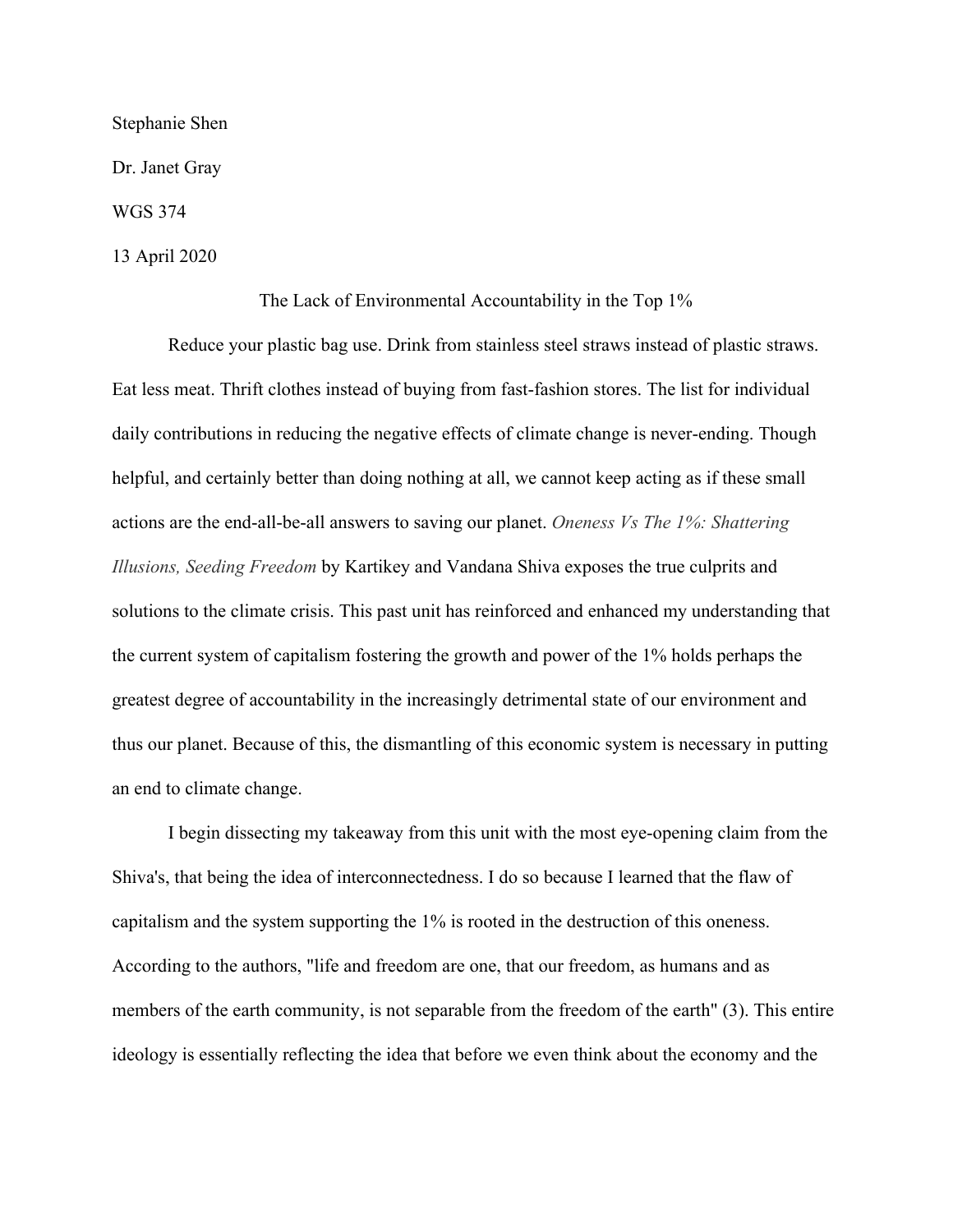Stephanie Shen

Dr. Janet Gray

WGS 374

13 April 2020

The Lack of Environmental Accountability in the Top 1%

Reduce your plastic bag use. Drink from stainless steel straws instead of plastic straws. Eat less meat. Thrift clothes instead of buying from fast-fashion stores. The list for individual daily contributions in reducing the negative effects of climate change is never-ending. Though helpful, and certainly better than doing nothing at all, we cannot keep acting as if these small actions are the end-all-be-all answers to saving our planet. *Oneness Vs The 1%: Shattering Illusions, Seeding Freedom* by Kartikey and Vandana Shiva exposes the true culprits and solutions to the climate crisis. This past unit has reinforced and enhanced my understanding that the current system of capitalism fostering the growth and power of the 1% holds perhaps the greatest degree of accountability in the increasingly detrimental state of our environment and thus our planet. Because of this, the dismantling of this economic system is necessary in putting an end to climate change.

I begin dissecting my takeaway from this unit with the most eye-opening claim from the Shiva's, that being the idea of interconnectedness. I do so because I learned that the flaw of capitalism and the system supporting the 1% is rooted in the destruction of this oneness. According to the authors, "life and freedom are one, that our freedom, as humans and as members of the earth community, is not separable from the freedom of the earth" (3). This entire ideology is essentially reflecting the idea that before we even think about the economy and the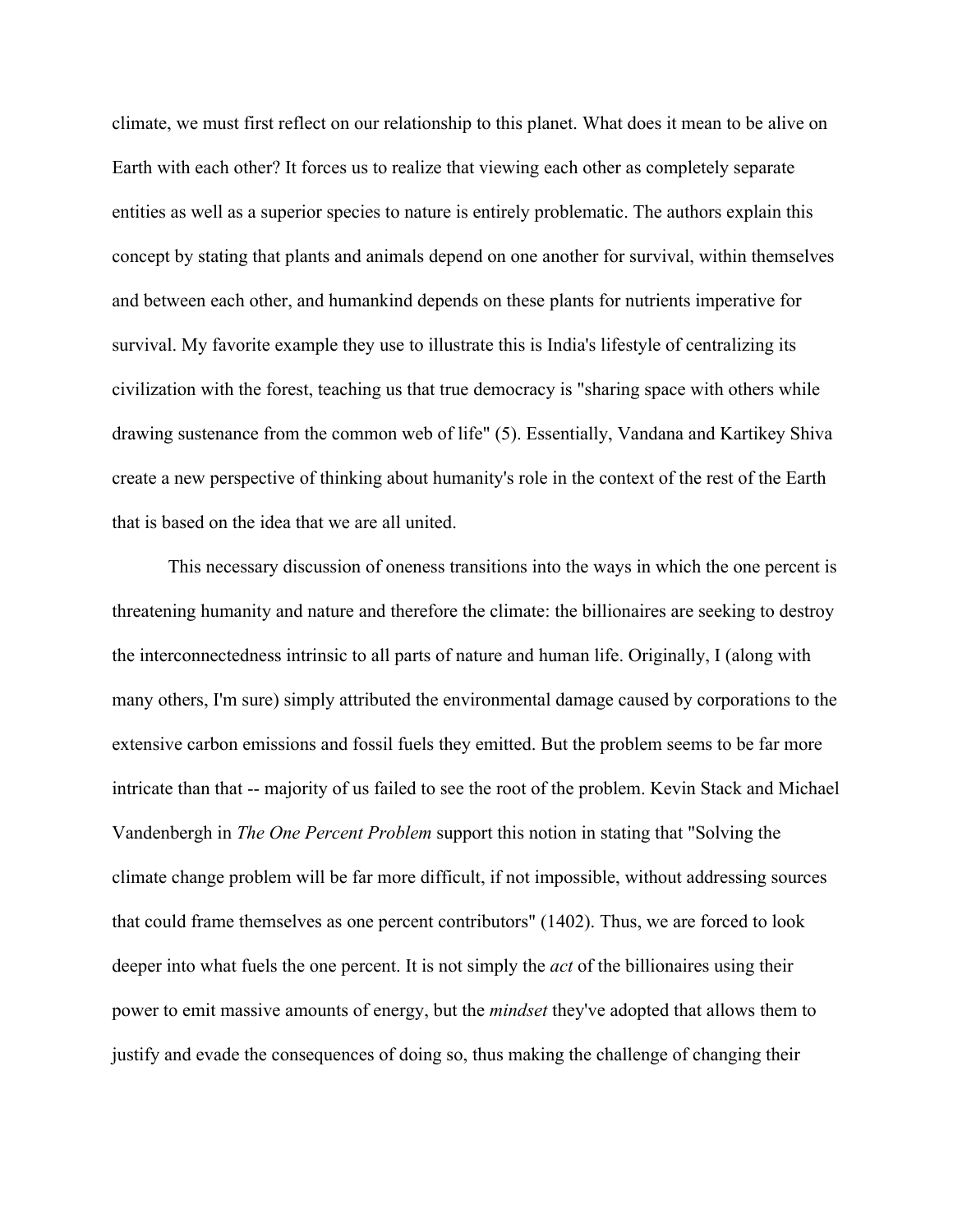climate, we must first reflect on our relationship to this planet. What does it mean to be alive on Earth with each other? It forces us to realize that viewing each other as completely separate entities as well as a superior species to nature is entirely problematic. The authors explain this concept by stating that plants and animals depend on one another for survival, within themselves and between each other, and humankind depends on these plants for nutrients imperative for survival. My favorite example they use to illustrate this is India's lifestyle of centralizing its civilization with the forest, teaching us that true democracy is "sharing space with others while drawing sustenance from the common web of life" (5). Essentially, Vandana and Kartikey Shiva create a new perspective of thinking about humanity's role in the context of the rest of the Earth that is based on the idea that we are all united.

This necessary discussion of oneness transitions into the ways in which the one percent is threatening humanity and nature and therefore the climate: the billionaires are seeking to destroy the interconnectedness intrinsic to all parts of nature and human life. Originally, I (along with many others, I'm sure) simply attributed the environmental damage caused by corporations to the extensive carbon emissions and fossil fuels they emitted. But the problem seems to be far more intricate than that -- majority of us failed to see the root of the problem. Kevin Stack and Michael Vandenbergh in *The One Percent Problem* support this notion in stating that "Solving the climate change problem will be far more difficult, if not impossible, without addressing sources that could frame themselves as one percent contributors" (1402). Thus, we are forced to look deeper into what fuels the one percent. It is not simply the *act* of the billionaires using their power to emit massive amounts of energy, but the *mindset* they've adopted that allows them to justify and evade the consequences of doing so, thus making the challenge of changing their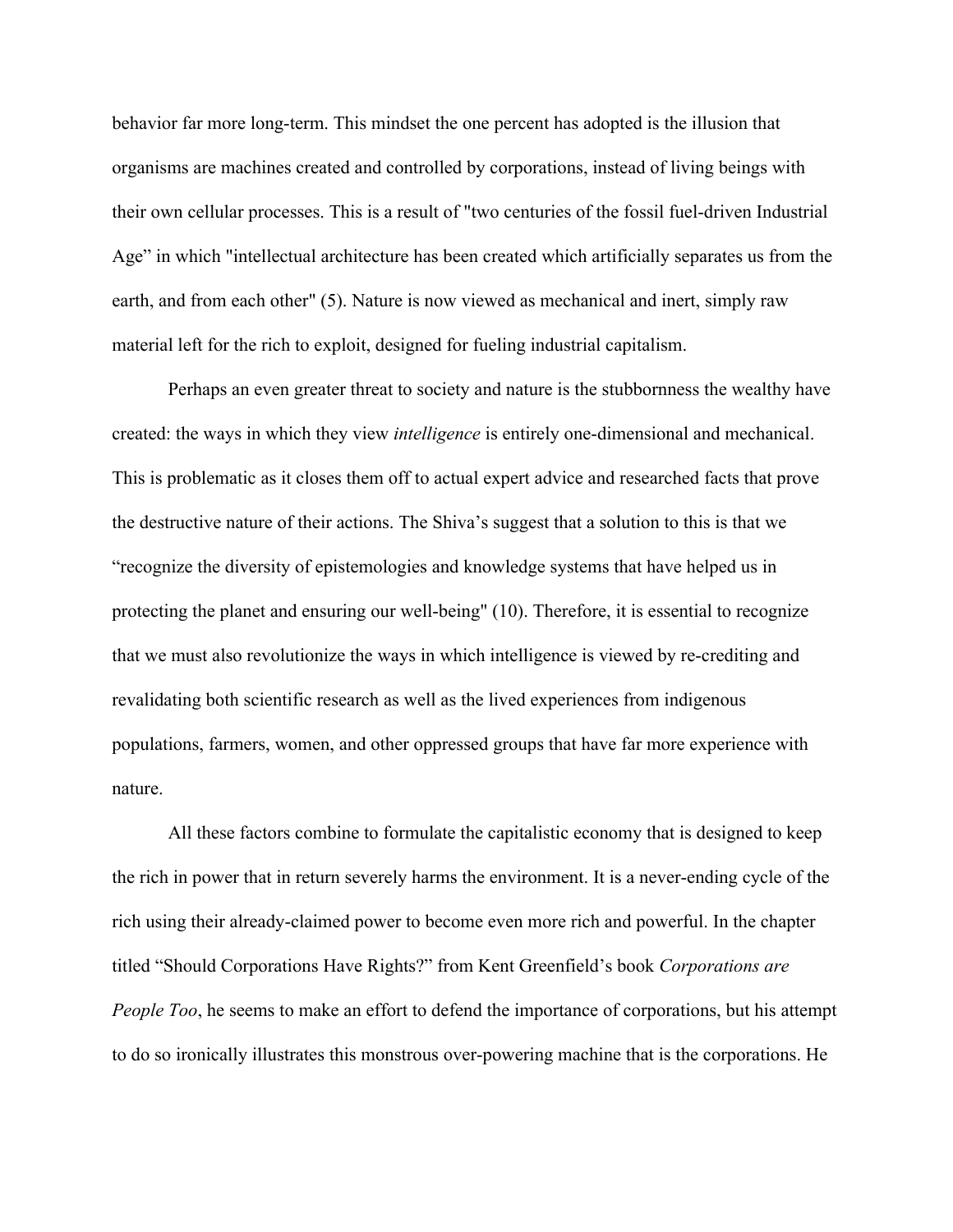behavior far more long-term. This mindset the one percent has adopted is the illusion that organisms are machines created and controlled by corporations, instead of living beings with their own cellular processes. This is a result of "two centuries of the fossil fuel-driven Industrial Age" in which "intellectual architecture has been created which artificially separates us from the earth, and from each other" (5). Nature is now viewed as mechanical and inert, simply raw material left for the rich to exploit, designed for fueling industrial capitalism.

Perhaps an even greater threat to society and nature is the stubbornness the wealthy have created: the ways in which they view *intelligence* is entirely one-dimensional and mechanical. This is problematic as it closes them off to actual expert advice and researched facts that prove the destructive nature of their actions. The Shiva's suggest that a solution to this is that we "recognize the diversity of epistemologies and knowledge systems that have helped us in protecting the planet and ensuring our well-being" (10). Therefore, it is essential to recognize that we must also revolutionize the ways in which intelligence is viewed by re-crediting and revalidating both scientific research as well as the lived experiences from indigenous populations, farmers, women, and other oppressed groups that have far more experience with nature.

All these factors combine to formulate the capitalistic economy that is designed to keep the rich in power that in return severely harms the environment. It is a never-ending cycle of the rich using their already-claimed power to become even more rich and powerful. In the chapter titled "Should Corporations Have Rights?" from Kent Greenfield's book *Corporations are People Too*, he seems to make an effort to defend the importance of corporations, but his attempt to do so ironically illustrates this monstrous over-powering machine that is the corporations. He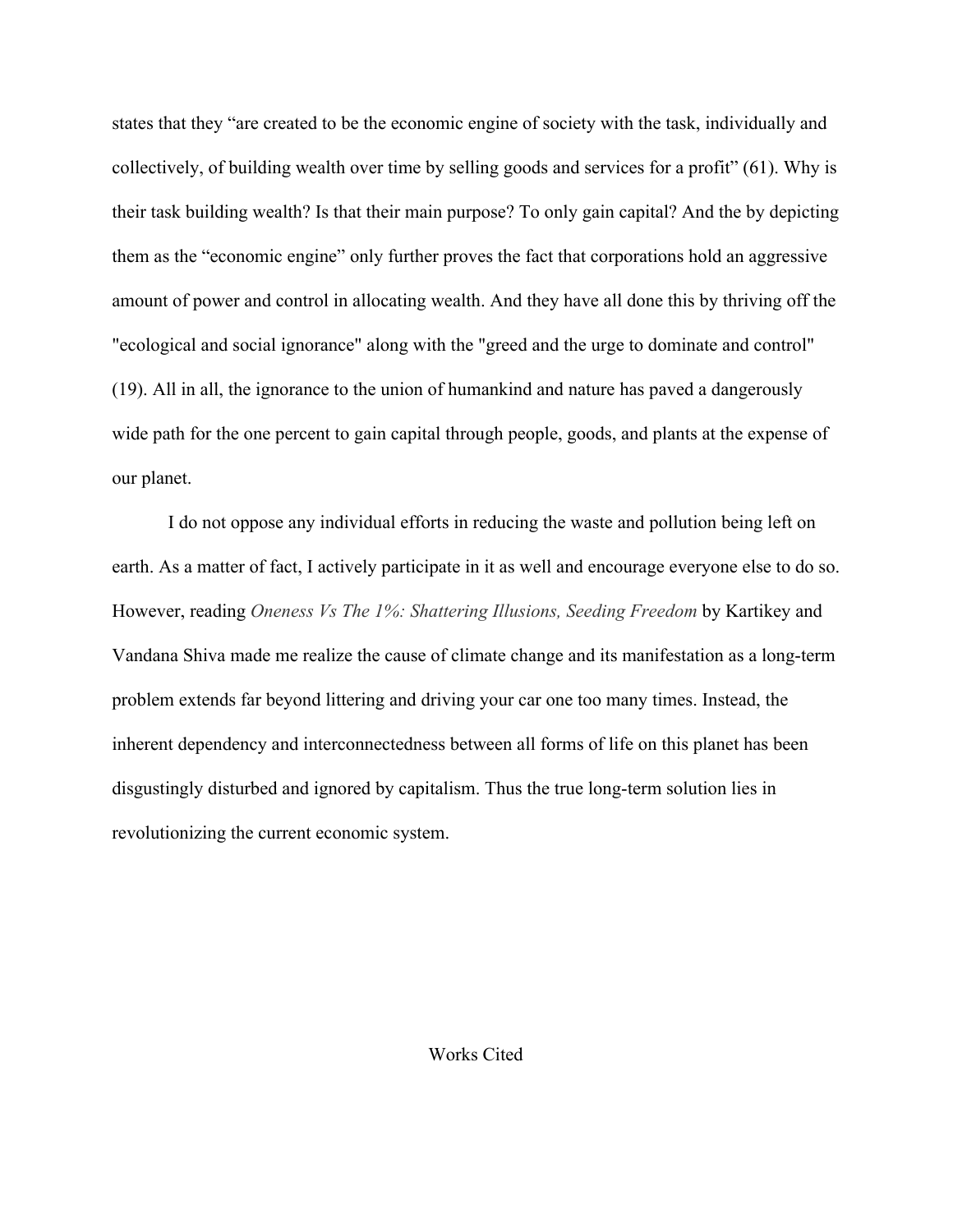states that they "are created to be the economic engine of society with the task, individually and collectively, of building wealth over time by selling goods and services for a profit" (61). Why is their task building wealth? Is that their main purpose? To only gain capital? And the by depicting them as the "economic engine" only further proves the fact that corporations hold an aggressive amount of power and control in allocating wealth. And they have all done this by thriving off the "ecological and social ignorance" along with the "greed and the urge to dominate and control" (19). All in all, the ignorance to the union of humankind and nature has paved a dangerously wide path for the one percent to gain capital through people, goods, and plants at the expense of our planet.

I do not oppose any individual efforts in reducing the waste and pollution being left on earth. As a matter of fact, I actively participate in it as well and encourage everyone else to do so. However, reading *Oneness Vs The 1%: Shattering Illusions, Seeding Freedom* by Kartikey and Vandana Shiva made me realize the cause of climate change and its manifestation as a long-term problem extends far beyond littering and driving your car one too many times. Instead, the inherent dependency and interconnectedness between all forms of life on this planet has been disgustingly disturbed and ignored by capitalism. Thus the true long-term solution lies in revolutionizing the current economic system.